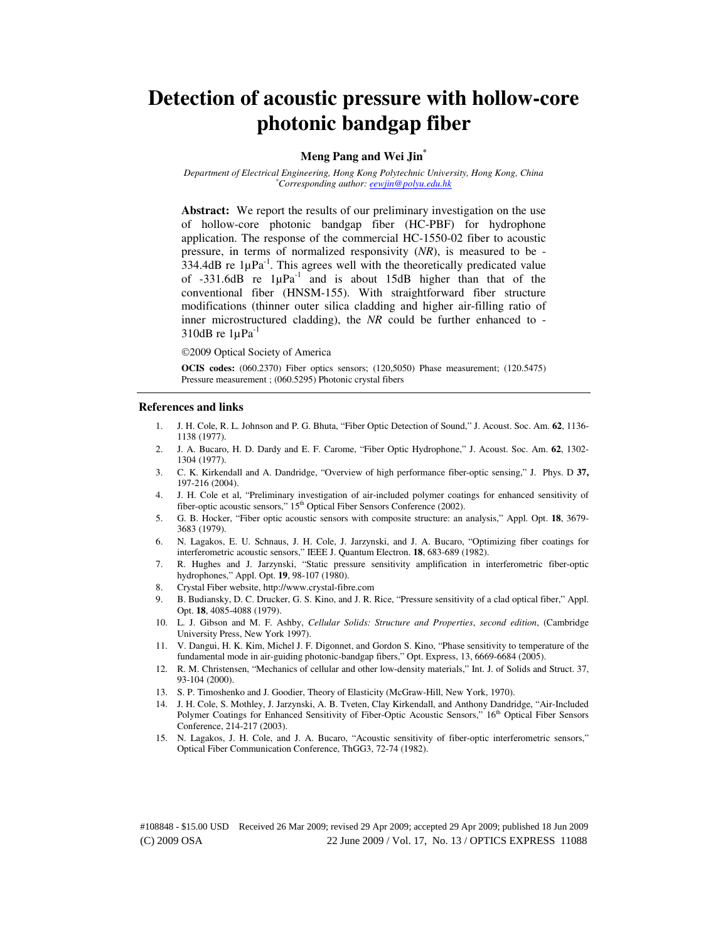# **Detection of acoustic pressure with hollow-core photonic bandgap fiber**

#### **Meng Pang and Wei Jin\***

*Department of Electrical Engineering, Hong Kong Polytechnic University, Hong Kong, China \*Corresponding author: eewjin@polyu.edu.hk* 

Abstract: We report the results of our preliminary investigation on the use of hollow-core photonic bandgap fiber (HC-PBF) for hydrophone application. The response of the commercial HC-1550-02 fiber to acoustic pressure, in terms of normalized responsivity (*NR*), is measured to be - 334.4dB re  $1\mu\text{Pa}^{-1}$ . This agrees well with the theoretically predicated value of  $-331.6dB$  re  $1\mu Pa^{-1}$  and is about 15dB higher than that of the conventional fiber (HNSM-155). With straightforward fiber structure modifications (thinner outer silica cladding and higher air-filling ratio of inner microstructured cladding), the *NR* could be further enhanced to - 310dB re  $1\mu\text{Pa}^{-1}$ 

#### 2009 Optical Society of America

**OCIS codes:** (060.2370) Fiber optics sensors; (120,5050) Phase measurement; (120.5475) Pressure measurement ; (060.5295) Photonic crystal fibers

#### **References and links**

- 1. J. H. Cole, R. L. Johnson and P. G. Bhuta, "Fiber Optic Detection of Sound," J. Acoust. Soc. Am. **62**, 1136- 1138 (1977).
- 2. J. A. Bucaro, H. D. Dardy and E. F. Carome, "Fiber Optic Hydrophone," J. Acoust. Soc. Am. **62**, 1302- 1304 (1977).
- 3. C. K. Kirkendall and A. Dandridge, "Overview of high performance fiber-optic sensing," J. Phys. D **37,** 197-216 (2004).
- 4. J. H. Cole et al, "Preliminary investigation of air-included polymer coatings for enhanced sensitivity of fiber-optic acoustic sensors," 15<sup>th</sup> Optical Fiber Sensors Conference (2002).
- 5. G. B. Hocker, "Fiber optic acoustic sensors with composite structure: an analysis," Appl. Opt. **18**, 3679- 3683 (1979).
- 6. N. Lagakos, E. U. Schnaus, J. H. Cole, J. Jarzynski, and J. A. Bucaro, "Optimizing fiber coatings for interferometric acoustic sensors," IEEE J. Quantum Electron. **18**, 683-689 (1982).
- 7. R. Hughes and J. Jarzynski, "Static pressure sensitivity amplification in interferometric fiber-optic hydrophones," Appl. Opt. **19**, 98-107 (1980).
- 8. Crystal Fiber website, http://www.crystal-fibre.com
- 9. B. Budiansky, D. C. Drucker, G. S. Kino, and J. R. Rice, "Pressure sensitivity of a clad optical fiber," Appl. Opt. **18**, 4085-4088 (1979).
- 10. L. J. Gibson and M. F. Ashby, *Cellular Solids: Structure and Properties*, *second edition*, (Cambridge University Press, New York 1997).
- 11. V. Dangui, H. K. Kim, Michel J. F. Digonnet, and Gordon S. Kino, "Phase sensitivity to temperature of the fundamental mode in air-guiding photonic-bandgap fibers," Opt. Express, 13, 6669-6684 (2005).
- 12. R. M. Christensen, "Mechanics of cellular and other low-density materials," Int. J. of Solids and Struct. 37, 93-104 (2000).
- 13. S. P. Timoshenko and J. Goodier, Theory of Elasticity (McGraw-Hill, New York, 1970).
- 14. J. H. Cole, S. Mothley, J. Jarzynski, A. B. Tveten, Clay Kirkendall, and Anthony Dandridge, "Air-Included Polymer Coatings for Enhanced Sensitivity of Fiber-Optic Acoustic Sensors," 16<sup>th</sup> Optical Fiber Sensors Conference, 214-217 (2003).
- 15. N. Lagakos, J. H. Cole, and J. A. Bucaro, "Acoustic sensitivity of fiber-optic interferometric sensors," Optical Fiber Communication Conference, ThGG3, 72-74 (1982).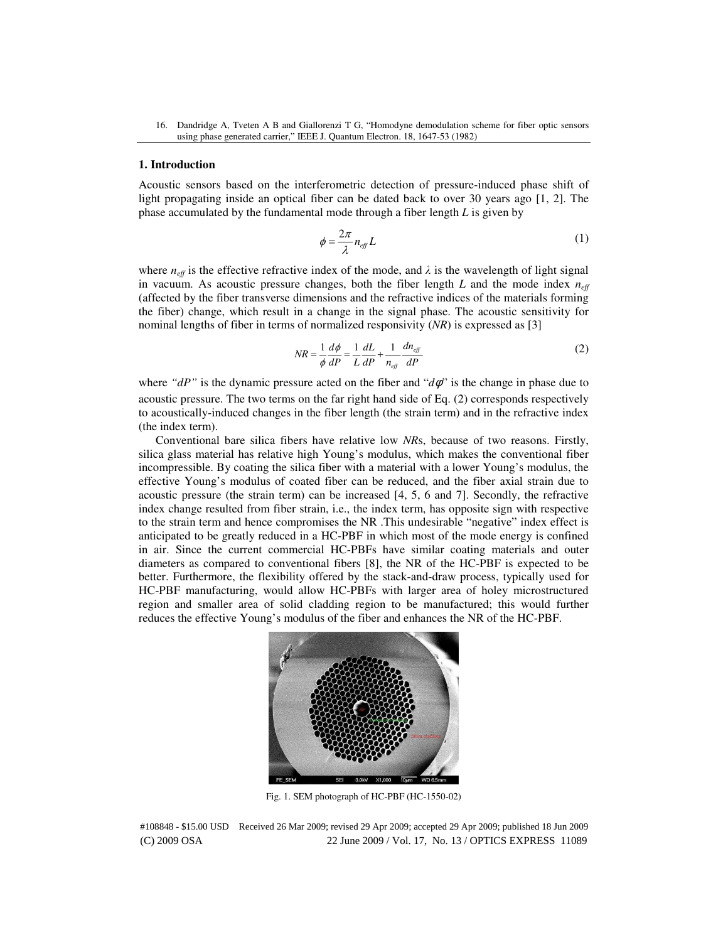#### **1. Introduction**

Acoustic sensors based on the interferometric detection of pressure-induced phase shift of light propagating inside an optical fiber can be dated back to over 30 years ago [1, 2]. The phase accumulated by the fundamental mode through a fiber length *L* is given by

$$
\phi = \frac{2\pi}{\lambda} n_{\text{eff}} L \tag{1}
$$

where  $n_{\text{eff}}$  is the effective refractive index of the mode, and  $\lambda$  is the wavelength of light signal in vacuum. As acoustic pressure changes, both the fiber length  $L$  and the mode index  $n_{\text{eff}}$ (affected by the fiber transverse dimensions and the refractive indices of the materials forming the fiber) change, which result in a change in the signal phase. The acoustic sensitivity for nominal lengths of fiber in terms of normalized responsivity (*NR*) is expressed as [3]

$$
NR = \frac{1}{\phi} \frac{d\phi}{dP} = \frac{1}{L} \frac{dL}{dP} + \frac{1}{n_{\text{eff}}} \frac{dn_{\text{eff}}}{dP}
$$
(2)

where " $dP$ " is the dynamic pressure acted on the fiber and " $d\phi$ " is the change in phase due to acoustic pressure. The two terms on the far right hand side of Eq. (2) corresponds respectively to acoustically-induced changes in the fiber length (the strain term) and in the refractive index (the index term).

Conventional bare silica fibers have relative low *NR*s, because of two reasons. Firstly, silica glass material has relative high Young's modulus, which makes the conventional fiber incompressible. By coating the silica fiber with a material with a lower Young's modulus, the effective Young's modulus of coated fiber can be reduced, and the fiber axial strain due to acoustic pressure (the strain term) can be increased [4, 5, 6 and 7]. Secondly, the refractive index change resulted from fiber strain, i.e., the index term, has opposite sign with respective to the strain term and hence compromises the NR .This undesirable "negative" index effect is anticipated to be greatly reduced in a HC-PBF in which most of the mode energy is confined in air. Since the current commercial HC-PBFs have similar coating materials and outer diameters as compared to conventional fibers [8], the NR of the HC-PBF is expected to be better. Furthermore, the flexibility offered by the stack-and-draw process, typically used for HC-PBF manufacturing, would allow HC-PBFs with larger area of holey microstructured region and smaller area of solid cladding region to be manufactured; this would further reduces the effective Young's modulus of the fiber and enhances the NR of the HC-PBF.



Fig. 1. SEM photograph of HC-PBF (HC-1550-02)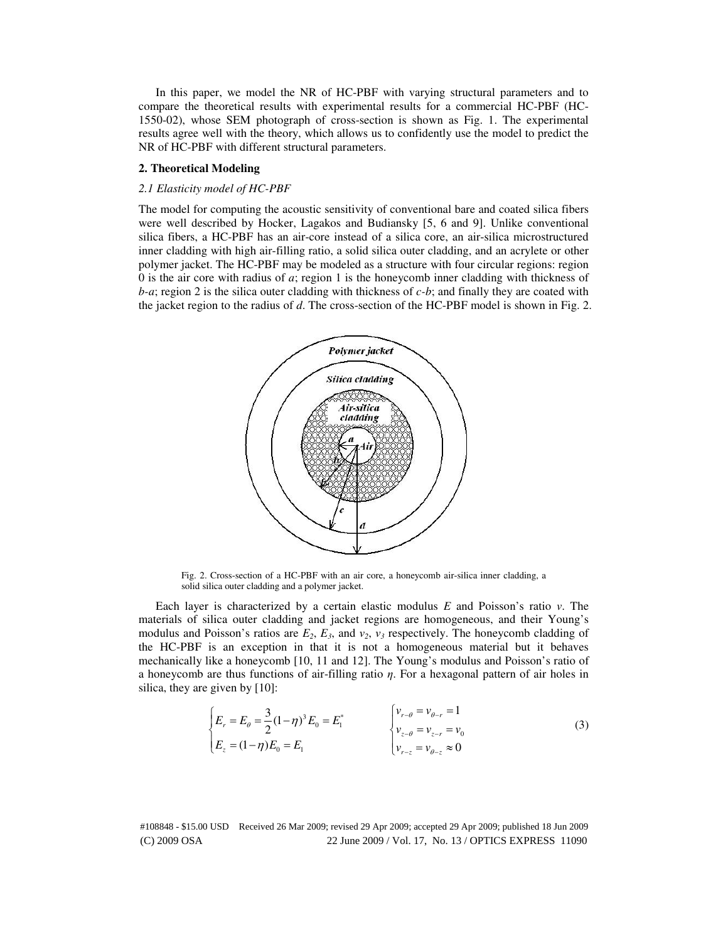In this paper, we model the NR of HC-PBF with varying structural parameters and to compare the theoretical results with experimental results for a commercial HC-PBF (HC-1550-02), whose SEM photograph of cross-section is shown as Fig. 1. The experimental results agree well with the theory, which allows us to confidently use the model to predict the NR of HC-PBF with different structural parameters.

## **2. Theoretical Modeling**

## *2.1 Elasticity model of HC-PBF*

The model for computing the acoustic sensitivity of conventional bare and coated silica fibers were well described by Hocker, Lagakos and Budiansky [5, 6 and 9]. Unlike conventional silica fibers, a HC-PBF has an air-core instead of a silica core, an air-silica microstructured inner cladding with high air-filling ratio, a solid silica outer cladding, and an acrylete or other polymer jacket. The HC-PBF may be modeled as a structure with four circular regions: region 0 is the air core with radius of *a*; region 1 is the honeycomb inner cladding with thickness of *b-a*; region 2 is the silica outer cladding with thickness of *c-b*; and finally they are coated with the jacket region to the radius of *d*. The cross-section of the HC-PBF model is shown in Fig. 2.



Fig. 2. Cross-section of a HC-PBF with an air core, a honeycomb air-silica inner cladding, a solid silica outer cladding and a polymer jacket.

Each layer is characterized by a certain elastic modulus *E* and Poisson's ratio *v*. The materials of silica outer cladding and jacket regions are homogeneous, and their Young's modulus and Poisson's ratios are  $E_2$ ,  $E_3$ , and  $v_2$ ,  $v_3$  respectively. The honeycomb cladding of the HC-PBF is an exception in that it is not a homogeneous material but it behaves mechanically like a honeycomb [10, 11 and 12]. The Young's modulus and Poisson's ratio of a honeycomb are thus functions of air-filling ratio  $\eta$ . For a hexagonal pattern of air holes in silica, they are given by [10]:

$$
\begin{cases}\nE_r = E_\theta = \frac{3}{2} (1 - \eta)^3 E_0 = E_1^* \\
E_z = (1 - \eta) E_0 = E_1\n\end{cases}\n\qquad\n\begin{cases}\nv_{r-\theta} = v_{\theta-r} = 1 \\
v_{z-\theta} = v_{z-r} = v_0 \\
v_{r-z} = v_{\theta-z} \approx 0\n\end{cases}
$$
\n(3)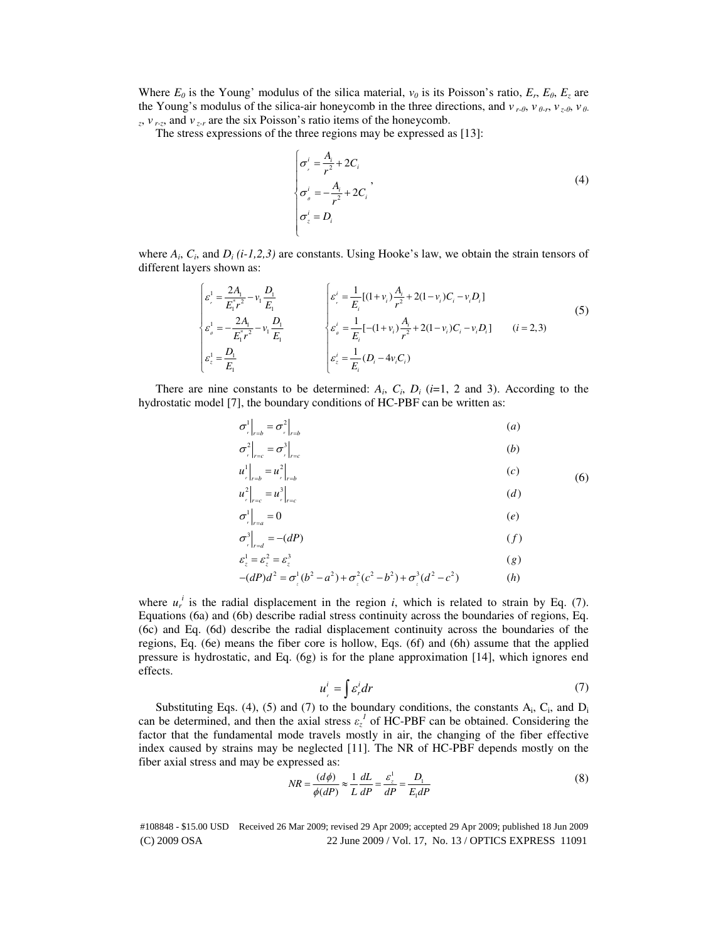Where  $E_0$  is the Young' modulus of the silica material,  $v_0$  is its Poisson's ratio,  $E_r$ ,  $E_\theta$ ,  $E_z$  are the Young's modulus of the silica-air honeycomb in the three directions, and ν *r-*θ, ν <sup>θ</sup>*-r*, ν *z-*θ, ν <sup>θ</sup>*z* , ν *r-z*, and ν *z-r* are the six Poisson's ratio items of the honeycomb.

The stress expressions of the three regions may be expressed as [13]:

$$
\begin{cases}\n\sigma_i^i = \frac{A_i}{r^2} + 2C_i \\
\sigma_i^i = -\frac{A_i}{r^2} + 2C_i \\
\sigma_z^i = D_i\n\end{cases}
$$
\n(4)

where  $A_i$ ,  $C_i$ , and  $D_i$  (*i-1,2,3*) are constants. Using Hooke's law, we obtain the strain tensors of different layers shown as:

$$
\begin{cases}\n\varepsilon_{r}^{1} = \frac{2A_{1}}{E_{1}^{*}r^{2}} - v_{1}\frac{D_{1}}{E_{1}} \\
\varepsilon_{\rho}^{1} = -\frac{2A_{1}}{E_{1}^{*}r^{2}} - v_{1}\frac{D_{1}}{E_{1}} \\
\varepsilon_{z}^{1} = \frac{D_{1}}{E_{1}}\n\end{cases}\n\qquad\n\begin{cases}\n\varepsilon_{r}^{i} = \frac{1}{E_{i}}[(1 + v_{i})\frac{A_{i}}{r^{2}} + 2(1 - v_{i})C_{i} - v_{i}D_{i}] \\
\varepsilon_{\rho}^{i} = \frac{1}{E_{i}}[-(1 + v_{i})\frac{A_{i}}{r^{2}} + 2(1 - v_{i})C_{i} - v_{i}D_{i}]\n\end{cases}\n\qquad (5)
$$
\n
$$
\varepsilon_{z}^{1} = \frac{D_{1}}{E_{1}}
$$

There are nine constants to be determined:  $A_i$ ,  $C_i$ ,  $D_i$  ( $i=1, 2$  and 3). According to the hydrostatic model [7], the boundary conditions of HC-PBF can be written as:

$$
\sigma_r^1\Big|_{r=b} = \sigma_r^2\Big|_{r=b}
$$
\n
$$
\sigma_r^2\Big|_{r=c} = \sigma_r^3\Big|_{r=c}
$$
\n
$$
u^1\Big|_{r=a} = u^2\Big|_{r=a}
$$
\n
$$
(c)
$$

$$
u_{r}|_{r=b} = u_{r}|_{r=c} = u_{r}|_{r=c}
$$
\n
$$
(d)
$$

$$
\sigma^1_{r}|_{r=a} = 0 \tag{e}
$$

$$
\sigma^3_{r}|_{r=d} = -(dP) \tag{f}
$$

$$
\varepsilon_z^1 = \varepsilon_z^2 = \varepsilon_z^3 \tag{g}
$$

$$
-(dP)d^2 = \sigma_z^1(b^2 - a^2) + \sigma_z^2(c^2 - b^2) + \sigma_z^3(d^2 - c^2)
$$
 (h)

where  $u_r^i$  is the radial displacement in the region *i*, which is related to strain by Eq. (7). Equations (6a) and (6b) describe radial stress continuity across the boundaries of regions, Eq. (6c) and Eq. (6d) describe the radial displacement continuity across the boundaries of the regions, Eq. (6e) means the fiber core is hollow, Eqs. (6f) and (6h) assume that the applied pressure is hydrostatic, and Eq. (6g) is for the plane approximation [14], which ignores end effects.

$$
u_r^i = \int \mathcal{E}_r^i dr \tag{7}
$$

(6)

Substituting Eqs. (4), (5) and (7) to the boundary conditions, the constants  $A_i$ ,  $C_i$ , and  $D_i$ can be determined, and then the axial stress  $\varepsilon_z^1$  of HC-PBF can be obtained. Considering the factor that the fundamental mode travels mostly in air, the changing of the fiber effective index caused by strains may be neglected [11]. The NR of HC-PBF depends mostly on the fiber axial stress and may be expressed as:

$$
NR = \frac{(d\phi)}{\phi(dP)} \approx \frac{1}{L} \frac{dL}{dP} = \frac{\varepsilon_z^1}{dP} = \frac{D_1}{E_1 dP}
$$
(8)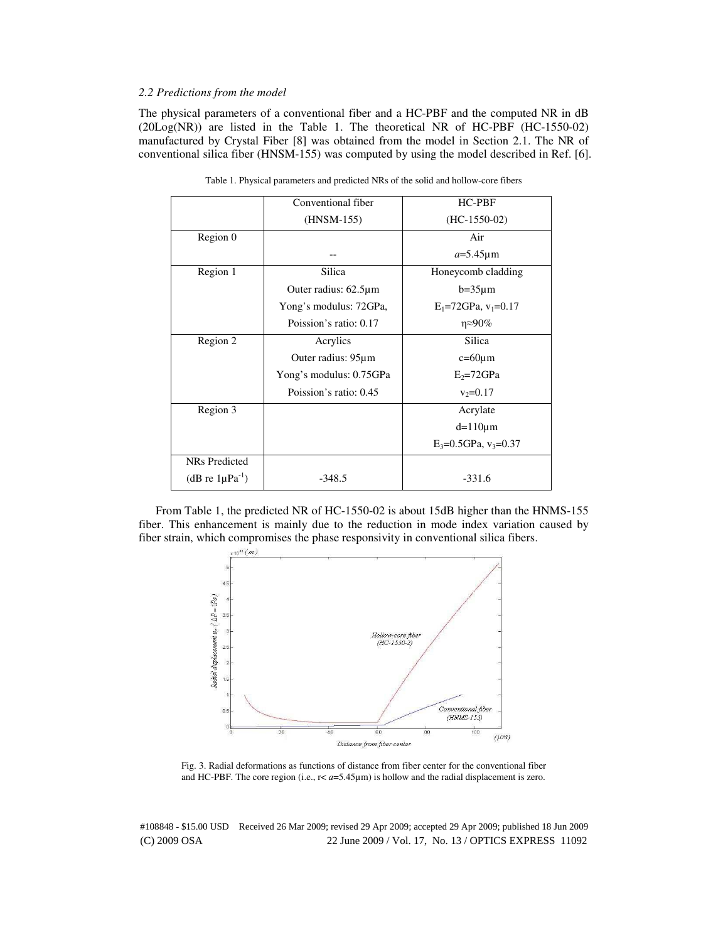# *2.2 Predictions from the model*

The physical parameters of a conventional fiber and a HC-PBF and the computed NR in dB (20Log(NR)) are listed in the Table 1. The theoretical NR of HC-PBF (HC-1550-02) manufactured by Crystal Fiber [8] was obtained from the model in Section 2.1. The NR of conventional silica fiber (HNSM-155) was computed by using the model described in Ref. [6].

|                               | Conventional fiber         | <b>HC-PBF</b>                 |
|-------------------------------|----------------------------|-------------------------------|
|                               | $(HNSM-155)$               | $(HC-1550-02)$                |
| Region 0                      |                            | Air                           |
|                               |                            | $a=5.45 \mu m$                |
| Region 1                      | Silica                     | Honeycomb cladding            |
|                               | Outer radius: $62.5 \mu m$ | $b=35 \mu m$                  |
|                               | Yong's modulus: 72GPa,     | $E_1 = 72$ GPa, $v_1 = 0.17$  |
|                               | Poission's ratio: 0.17     | $\eta \approx 90\%$           |
| Region 2                      | Acrylics                   | <b>Silica</b>                 |
|                               | Outer radius: 95µm         | $c=60 \mu m$                  |
|                               | Yong's modulus: 0.75GPa    | $E_2 = 72$ GPa                |
|                               | Poission's ratio: 0.45     | $v_2 = 0.17$                  |
| Region 3                      |                            | Acrylate                      |
|                               |                            | $d=110 \mu m$                 |
|                               |                            | $E_3 = 0.5$ GPa, $v_3 = 0.37$ |
| <b>NRs</b> Predicted          |                            |                               |
| (dB re $1\mu\text{Pa}^{-1}$ ) | $-348.5$                   | $-331.6$                      |

Table 1. Physical parameters and predicted NRs of the solid and hollow-core fibers

From Table 1, the predicted NR of HC-1550-02 is about 15dB higher than the HNMS-155 fiber. This enhancement is mainly due to the reduction in mode index variation caused by fiber strain, which compromises the phase responsivity in conventional silica fibers.



Fig. 3. Radial deformations as functions of distance from fiber center for the conventional fiber and HC-PBF. The core region (i.e.,  $r < a = 5.45\mu m$ ) is hollow and the radial displacement is zero.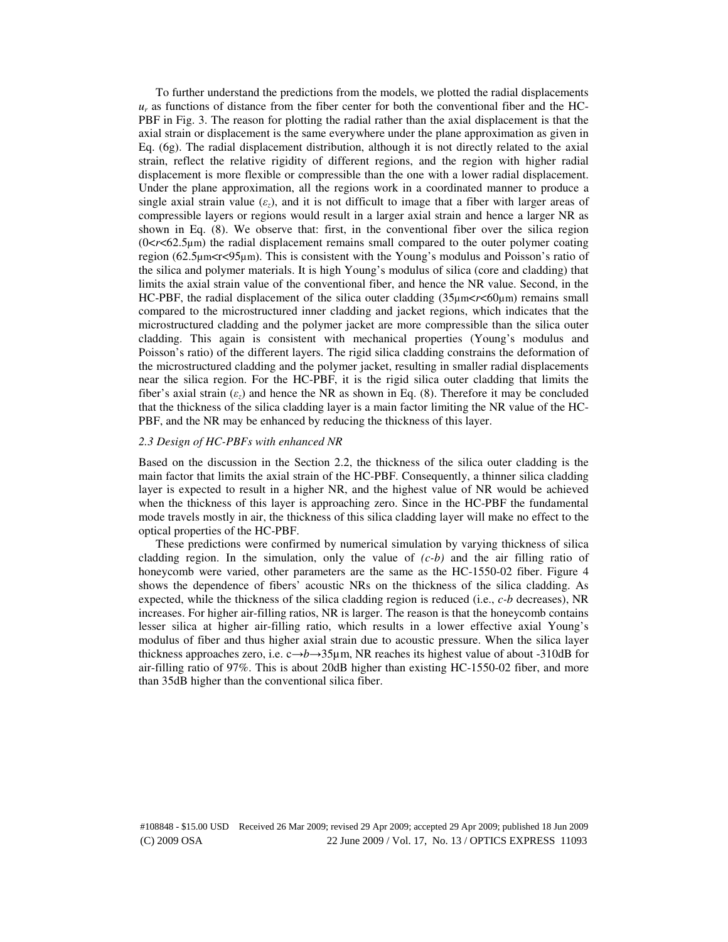To further understand the predictions from the models, we plotted the radial displacements  $u_r$  as functions of distance from the fiber center for both the conventional fiber and the HC-PBF in Fig. 3. The reason for plotting the radial rather than the axial displacement is that the axial strain or displacement is the same everywhere under the plane approximation as given in Eq. (6g). The radial displacement distribution, although it is not directly related to the axial strain, reflect the relative rigidity of different regions, and the region with higher radial displacement is more flexible or compressible than the one with a lower radial displacement. Under the plane approximation, all the regions work in a coordinated manner to produce a single axial strain value  $(\varepsilon_z)$ , and it is not difficult to image that a fiber with larger areas of compressible layers or regions would result in a larger axial strain and hence a larger NR as shown in Eq. (8). We observe that: first, in the conventional fiber over the silica region  $(0 < r < 62.5 \mu m)$  the radial displacement remains small compared to the outer polymer coating region (62.5µm<rs>stration. This is consistent with the Young's modulus and Poisson's ratio of the silica and polymer materials. It is high Young's modulus of silica (core and cladding) that limits the axial strain value of the conventional fiber, and hence the NR value. Second, in the HC-PBF, the radial displacement of the silica outer cladding (35µm<*r*<60µm) remains small compared to the microstructured inner cladding and jacket regions, which indicates that the microstructured cladding and the polymer jacket are more compressible than the silica outer cladding. This again is consistent with mechanical properties (Young's modulus and Poisson's ratio) of the different layers. The rigid silica cladding constrains the deformation of the microstructured cladding and the polymer jacket, resulting in smaller radial displacements near the silica region. For the HC-PBF, it is the rigid silica outer cladding that limits the fiber's axial strain (ε*z*) and hence the NR as shown in Eq. (8). Therefore it may be concluded that the thickness of the silica cladding layer is a main factor limiting the NR value of the HC-PBF, and the NR may be enhanced by reducing the thickness of this layer.

# *2.3 Design of HC-PBFs with enhanced NR*

Based on the discussion in the Section 2.2, the thickness of the silica outer cladding is the main factor that limits the axial strain of the HC-PBF. Consequently, a thinner silica cladding layer is expected to result in a higher NR, and the highest value of NR would be achieved when the thickness of this layer is approaching zero. Since in the HC-PBF the fundamental mode travels mostly in air, the thickness of this silica cladding layer will make no effect to the optical properties of the HC-PBF.

These predictions were confirmed by numerical simulation by varying thickness of silica cladding region. In the simulation, only the value of  $(c-b)$  and the air filling ratio of honeycomb were varied, other parameters are the same as the HC-1550-02 fiber. Figure 4 shows the dependence of fibers' acoustic NRs on the thickness of the silica cladding. As expected, while the thickness of the silica cladding region is reduced (i.e., *c-b* decreases), NR increases. For higher air-filling ratios, NR is larger. The reason is that the honeycomb contains lesser silica at higher air-filling ratio, which results in a lower effective axial Young's modulus of fiber and thus higher axial strain due to acoustic pressure. When the silica layer thickness approaches zero, i.e. c→*b*→35µm, NR reaches its highest value of about -310dB for air-filling ratio of 97%. This is about 20dB higher than existing HC-1550-02 fiber, and more than 35dB higher than the conventional silica fiber.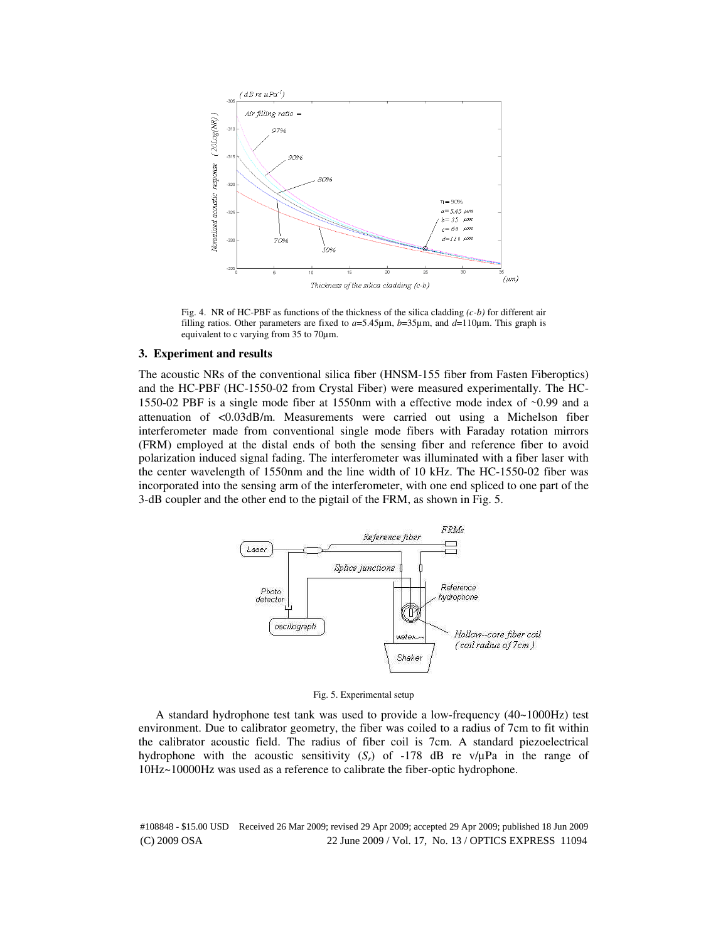

Fig. 4. NR of HC-PBF as functions of the thickness of the silica cladding *(c-b)* for different air filling ratios. Other parameters are fixed to  $a=5.45\mu$ m,  $b=35\mu$ m, and  $d=110\mu$ m. This graph is equivalent to c varying from 35 to 70µm.

#### **3. Experiment and results**

The acoustic NRs of the conventional silica fiber (HNSM-155 fiber from Fasten Fiberoptics) and the HC-PBF (HC-1550-02 from Crystal Fiber) were measured experimentally. The HC-1550-02 PBF is a single mode fiber at 1550nm with a effective mode index of ∼0.99 and a attenuation of <0.03dB/m. Measurements were carried out using a Michelson fiber interferometer made from conventional single mode fibers with Faraday rotation mirrors (FRM) employed at the distal ends of both the sensing fiber and reference fiber to avoid polarization induced signal fading. The interferometer was illuminated with a fiber laser with the center wavelength of 1550nm and the line width of 10 kHz. The HC-1550-02 fiber was incorporated into the sensing arm of the interferometer, with one end spliced to one part of the 3-dB coupler and the other end to the pigtail of the FRM, as shown in Fig. 5.



Fig. 5. Experimental setup

A standard hydrophone test tank was used to provide a low-frequency (40~1000Hz) test environment. Due to calibrator geometry, the fiber was coiled to a radius of 7cm to fit within the calibrator acoustic field. The radius of fiber coil is 7cm. A standard piezoelectrical hydrophone with the acoustic sensitivity  $(S_r)$  of -178 dB re v/ $\mu$ Pa in the range of 10Hz~10000Hz was used as a reference to calibrate the fiber-optic hydrophone.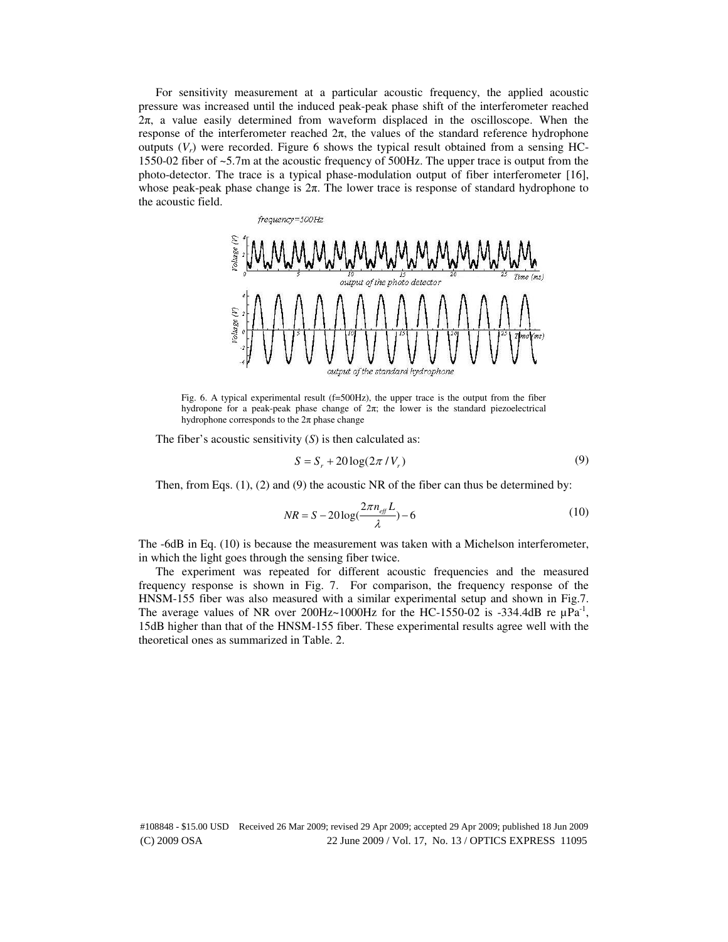For sensitivity measurement at a particular acoustic frequency, the applied acoustic pressure was increased until the induced peak-peak phase shift of the interferometer reached  $2\pi$ , a value easily determined from waveform displaced in the oscilloscope. When the response of the interferometer reached  $2π$ , the values of the standard reference hydrophone outputs  $(V_r)$  were recorded. Figure 6 shows the typical result obtained from a sensing HC-1550-02 fiber of ~5.7m at the acoustic frequency of 500Hz. The upper trace is output from the photo-detector. The trace is a typical phase-modulation output of fiber interferometer [16], whose peak-peak phase change is  $2\pi$ . The lower trace is response of standard hydrophone to the acoustic field.



Fig. 6. A typical experimental result (f=500Hz), the upper trace is the output from the fiber hydropone for a peak-peak phase change of 2π; the lower is the standard piezoelectrical hydrophone corresponds to the  $2\pi$  phase change

The fiber's acoustic sensitivity (*S*) is then calculated as:

$$
S = S_r + 20\log(2\pi/V_r) \tag{9}
$$

Then, from Eqs. (1), (2) and (9) the acoustic NR of the fiber can thus be determined by:

$$
NR = S - 20\log\left(\frac{2\pi n_{\text{eff}}L}{\lambda}\right) - 6\tag{10}
$$

The -6dB in Eq. (10) is because the measurement was taken with a Michelson interferometer, in which the light goes through the sensing fiber twice.

The experiment was repeated for different acoustic frequencies and the measured frequency response is shown in Fig. 7. For comparison, the frequency response of the HNSM-155 fiber was also measured with a similar experimental setup and shown in Fig.7. The average values of NR over 200Hz $\sim$ 1000Hz for the HC-1550-02 is -334.4dB re  $\mu$ Pa<sup>-1</sup>, 15dB higher than that of the HNSM-155 fiber. These experimental results agree well with the theoretical ones as summarized in Table. 2.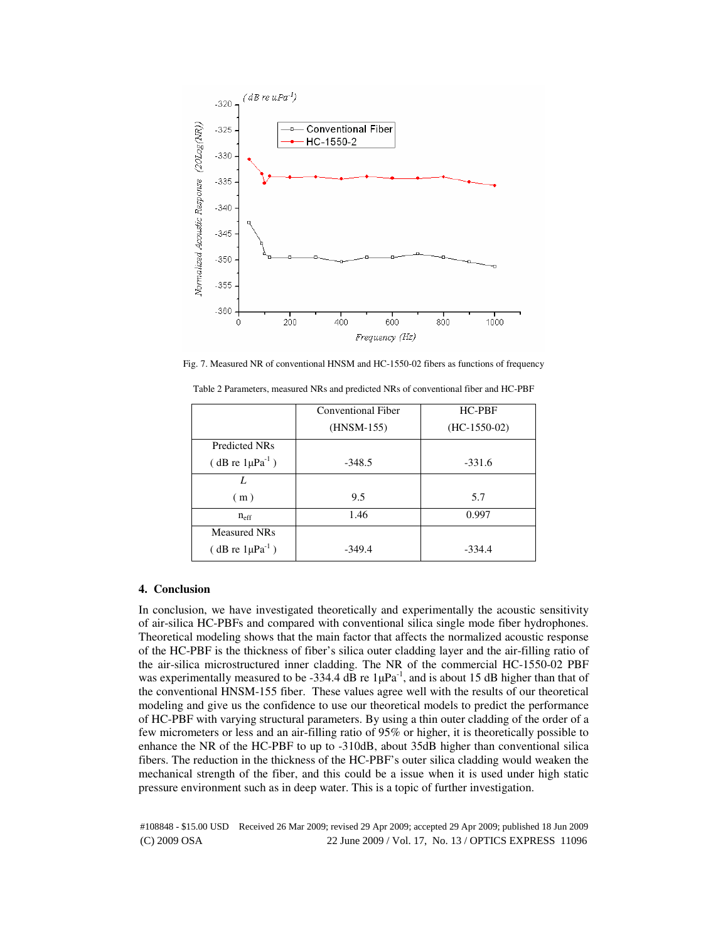

Fig. 7. Measured NR of conventional HNSM and HC-1550-02 fibers as functions of frequency

|                             | Conventional Fiber | HC-PBF         |
|-----------------------------|--------------------|----------------|
|                             | $(HNSM-155)$       | $(HC-1550-02)$ |
| Predicted NRs               |                    |                |
| $(dB \r{re} 1 \mu Pa^{-1})$ | $-348.5$           | $-331.6$       |
| L                           |                    |                |
| (m)                         | 9.5                | 5.7            |
| $n_{\text{eff}}$            | 1.46               | 0.997          |
| <b>Measured NRs</b>         |                    |                |
| $(dB \r{re} 1\mu Pa^{-1})$  | $-349.4$           | $-334.4$       |

Table 2 Parameters, measured NRs and predicted NRs of conventional fiber and HC-PBF

#### **4. Conclusion**

In conclusion, we have investigated theoretically and experimentally the acoustic sensitivity of air-silica HC-PBFs and compared with conventional silica single mode fiber hydrophones. Theoretical modeling shows that the main factor that affects the normalized acoustic response of the HC-PBF is the thickness of fiber's silica outer cladding layer and the air-filling ratio of the air-silica microstructured inner cladding. The NR of the commercial HC-1550-02 PBF was experimentally measured to be -334.4 dB re  $1\mu Pa^{-1}$ , and is about 15 dB higher than that of the conventional HNSM-155 fiber. These values agree well with the results of our theoretical modeling and give us the confidence to use our theoretical models to predict the performance of HC-PBF with varying structural parameters. By using a thin outer cladding of the order of a few micrometers or less and an air-filling ratio of 95% or higher, it is theoretically possible to enhance the NR of the HC-PBF to up to -310dB, about 35dB higher than conventional silica fibers. The reduction in the thickness of the HC-PBF's outer silica cladding would weaken the mechanical strength of the fiber, and this could be a issue when it is used under high static pressure environment such as in deep water. This is a topic of further investigation.